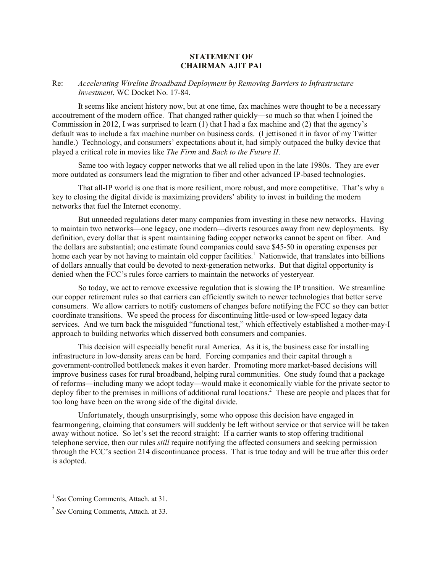## **STATEMENT OF CHAIRMAN AJIT PAI**

## Re: *Accelerating Wireline Broadband Deployment by Removing Barriers to Infrastructure Investment*, WC Docket No. 17-84.

It seems like ancient history now, but at one time, fax machines were thought to be a necessary accoutrement of the modern office. That changed rather quickly—so much so that when I joined the Commission in 2012, I was surprised to learn (1) that I had a fax machine and (2) that the agency's default was to include a fax machine number on business cards. (I jettisoned it in favor of my Twitter handle.) Technology, and consumers' expectations about it, had simply outpaced the bulky device that played a critical role in movies like *The Firm* and *Back to the Future II*.

Same too with legacy copper networks that we all relied upon in the late 1980s. They are ever more outdated as consumers lead the migration to fiber and other advanced IP-based technologies.

That all-IP world is one that is more resilient, more robust, and more competitive. That's why a key to closing the digital divide is maximizing providers' ability to invest in building the modern networks that fuel the Internet economy.

But unneeded regulations deter many companies from investing in these new networks. Having to maintain two networks—one legacy, one modern—diverts resources away from new deployments. By definition, every dollar that is spent maintaining fading copper networks cannot be spent on fiber. And the dollars are substantial; one estimate found companies could save \$45-50 in operating expenses per home each year by not having to maintain old copper facilities.<sup>1</sup> Nationwide, that translates into billions of dollars annually that could be devoted to next-generation networks. But that digital opportunity is denied when the FCC's rules force carriers to maintain the networks of yesteryear.

So today, we act to remove excessive regulation that is slowing the IP transition. We streamline our copper retirement rules so that carriers can efficiently switch to newer technologies that better serve consumers. We allow carriers to notify customers of changes before notifying the FCC so they can better coordinate transitions. We speed the process for discontinuing little-used or low-speed legacy data services. And we turn back the misguided "functional test," which effectively established a mother-may-I approach to building networks which disserved both consumers and companies.

This decision will especially benefit rural America. As it is, the business case for installing infrastructure in low-density areas can be hard. Forcing companies and their capital through a government-controlled bottleneck makes it even harder. Promoting more market-based decisions will improve business cases for rural broadband, helping rural communities. One study found that a package of reforms—including many we adopt today—would make it economically viable for the private sector to deploy fiber to the premises in millions of additional rural locations. 2 These are people and places that for too long have been on the wrong side of the digital divide.

Unfortunately, though unsurprisingly, some who oppose this decision have engaged in fearmongering, claiming that consumers will suddenly be left without service or that service will be taken away without notice. So let's set the record straight: If a carrier wants to stop offering traditional telephone service, then our rules *still* require notifying the affected consumers and seeking permission through the FCC's section 214 discontinuance process. That is true today and will be true after this order is adopted.

 1 *See* Corning Comments, Attach. at 31.

<sup>2</sup> *See* Corning Comments, Attach. at 33.